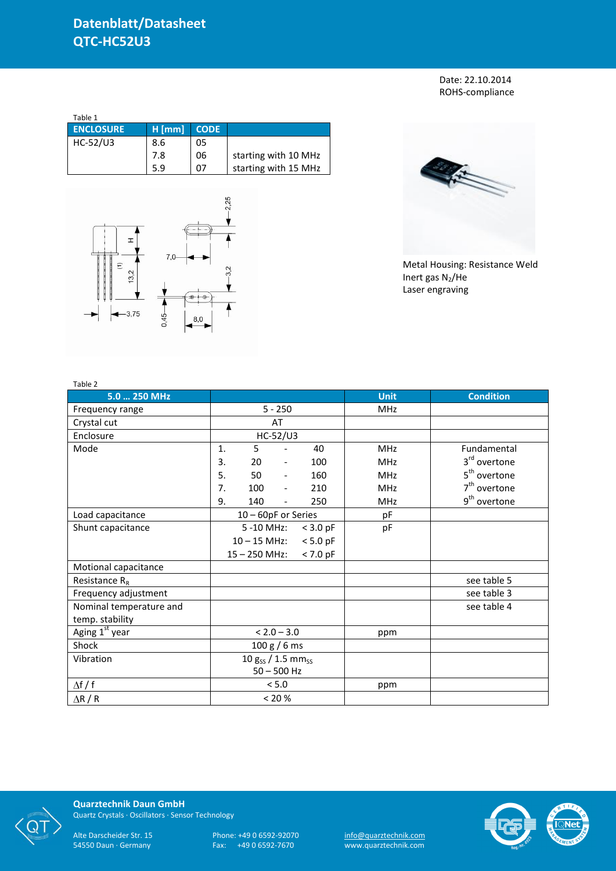Date: 22.10.2014 ROHS-compliance

| Table 1          |          |             |                      |
|------------------|----------|-------------|----------------------|
| <b>ENCLOSURE</b> | $H$ [mm] | <b>CODE</b> |                      |
| HC-52/U3         | 8.6      | 05          |                      |
|                  | 7.8      | 06          | starting with 10 MHz |
|                  | 5.9      | በ7          | starting with 15 MHz |





Metal Housing: Resistance Weld Inert gas  $N_2$ /He Laser engraving

| Table 2                 |                                    |                 |                              |            |             |                          |
|-------------------------|------------------------------------|-----------------|------------------------------|------------|-------------|--------------------------|
| 5.0  250 MHz            |                                    |                 |                              |            | <b>Unit</b> | <b>Condition</b>         |
| Frequency range         |                                    |                 | $5 - 250$                    |            | MHz         |                          |
| Crystal cut             |                                    |                 | AT                           |            |             |                          |
| Enclosure               |                                    |                 | HC-52/U3                     |            |             |                          |
| Mode                    | 1.                                 | 5               |                              | 40         | <b>MHz</b>  | Fundamental              |
|                         | 3.                                 | 20              | $\overline{\phantom{a}}$     | 100        | <b>MHz</b>  | 3 <sup>rd</sup> overtone |
|                         | 5.                                 | 50              | $\qquad \qquad \blacksquare$ | 160        | <b>MHz</b>  | 5 <sup>th</sup> overtone |
|                         | 7.                                 | 100             | $\frac{1}{2}$                | 210        | <b>MHz</b>  | $7th$ overtone           |
|                         | 9.                                 | 140             | $\overline{\phantom{0}}$     | 250        | <b>MHz</b>  | 9 <sup>th</sup> overtone |
| Load capacitance        | 10 - 60pF or Series                |                 |                              |            | pF          |                          |
| Shunt capacitance       | 5 -10 MHz:                         |                 | $<$ 3.0 pF                   | pF         |             |                          |
|                         |                                    | $10 - 15$ MHz:  |                              | $< 5.0$ pF |             |                          |
|                         |                                    | $15 - 250$ MHz: |                              | $< 7.0$ pF |             |                          |
| Motional capacitance    |                                    |                 |                              |            |             |                          |
| Resistance $R_R$        |                                    |                 |                              |            |             | see table 5              |
| Frequency adjustment    |                                    |                 |                              |            |             | see table 3              |
| Nominal temperature and |                                    |                 |                              |            |             | see table 4              |
| temp. stability         |                                    |                 |                              |            |             |                          |
| Aging 1st year          |                                    |                 | $< 2.0 - 3.0$                |            | ppm         |                          |
| Shock                   | 100 g / 6 ms                       |                 |                              |            |             |                          |
| Vibration               | 10 $g_{SS}$ / 1.5 mm <sub>ss</sub> |                 |                              |            |             |                          |
|                         | $50 - 500$ Hz                      |                 |                              |            |             |                          |
| $\Delta f / f$          |                                    |                 | < 5.0                        |            | ppm         |                          |
| $\Delta$ R / R          | < 20 %                             |                 |                              |            |             |                          |



**Quarztechnik Daun GmbH** Quartz Crystals · Oscillators · Sensor Technology

Alte Darscheider Str. 15 Phone: +49 0 6592-92070 <u>info@quarztechnik.com</u>

54550 Daun · Germany Fax: +49 0 6592-7670 www.quarztechnik.com